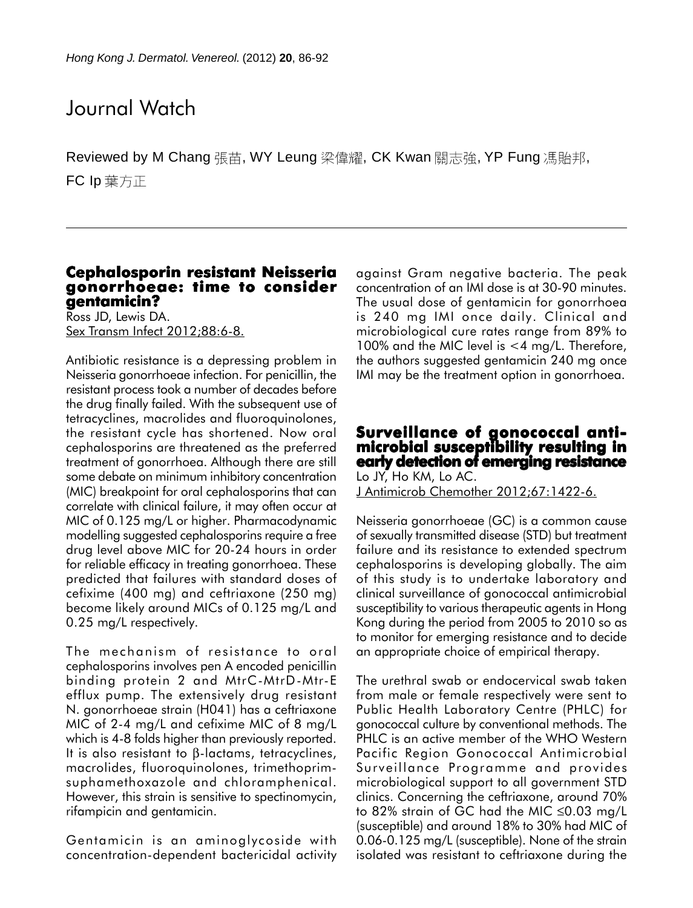# Journal Watch

Reviewed by M Chang 張苗, WY Leung 梁偉耀, CK Kwan 關志強, YP Fung 馮貽邦, FC Ip 葉方正

## **Cephalosporin resistant Neisseria gonorrhoeae: time to consider gentamicin?**

Ross JD, Lewis DA. Sex Transm Infect 2012;88:6-8.

Antibiotic resistance is a depressing problem in Neisseria gonorrhoeae infection. For penicillin, the resistant process took a number of decades before the drug finally failed. With the subsequent use of tetracyclines, macrolides and fluoroquinolones, the resistant cycle has shortened. Now oral cephalosporins are threatened as the preferred treatment of gonorrhoea. Although there are still some debate on minimum inhibitory concentration (MIC) breakpoint for oral cephalosporins that can correlate with clinical failure, it may often occur at MIC of 0.125 mg/L or higher. Pharmacodynamic modelling suggested cephalosporins require a free drug level above MIC for 20-24 hours in order for reliable efficacy in treating gonorrhoea. These predicted that failures with standard doses of cefixime (400 mg) and ceftriaxone (250 mg) become likely around MICs of 0.125 mg/L and 0.25 mg/L respectively.

The mechanism of resistance to oral cephalosporins involves pen A encoded penicillin binding protein 2 and MtrC-MtrD-Mtr-E efflux pump. The extensively drug resistant N. gonorrhoeae strain (H041) has a ceftriaxone MIC of 2-4 mg/L and cefixime MIC of 8 mg/L which is 4-8 folds higher than previously reported. It is also resistant to β-lactams, tetracyclines, macrolides, fluoroquinolones, trimethoprimsuphamethoxazole and chloramphenical. However, this strain is sensitive to spectinomycin, rifampicin and gentamicin.

Gentamicin is an aminoglycoside with concentration-dependent bactericidal activity against Gram negative bacteria. The peak concentration of an IMI dose is at 30-90 minutes. The usual dose of gentamicin for gonorrhoea is 240 mg IMI once daily. Clinical and microbiological cure rates range from 89% to 100% and the MIC level is <4 mg/L. Therefore, the authors suggested gentamicin 240 mg once IMI may be the treatment option in gonorrhoea.

#### **Surveillance of gonococcal antimicrobial susceptibility resulting in early detection of emerging resistance** Lo JY, Ho KM, Lo AC.

J Antimicrob Chemother 2012;67:1422-6.

Neisseria gonorrhoeae (GC) is a common cause of sexually transmitted disease (STD) but treatment failure and its resistance to extended spectrum cephalosporins is developing globally. The aim of this study is to undertake laboratory and clinical surveillance of gonococcal antimicrobial susceptibility to various therapeutic agents in Hong Kong during the period from 2005 to 2010 so as to monitor for emerging resistance and to decide an appropriate choice of empirical therapy.

The urethral swab or endocervical swab taken from male or female respectively were sent to Public Health Laboratory Centre (PHLC) for gonococcal culture by conventional methods. The PHLC is an active member of the WHO Western Pacific Region Gonococcal Antimicrobial Surveillance Programme and provides microbiological support to all government STD clinics. Concerning the ceftriaxone, around 70% to 82% strain of GC had the MIC ≤0.03 mg/L (susceptible) and around 18% to 30% had MIC of 0.06-0.125 mg/L (susceptible). None of the strain isolated was resistant to ceftriaxone during the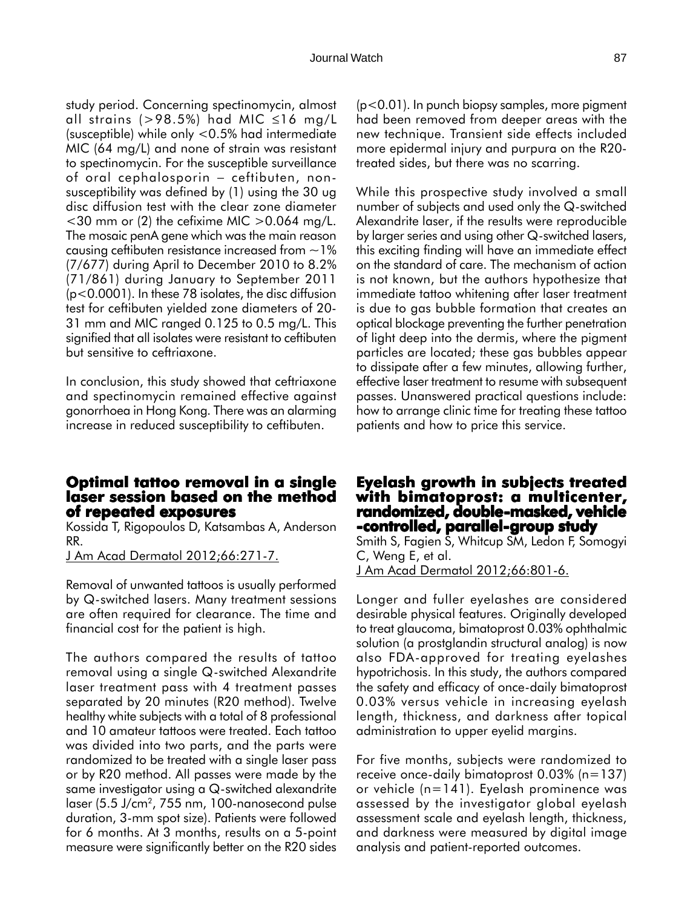study period. Concerning spectinomycin, almost all strains (>98.5%) had MIC  $\leq$ 16 mg/L (susceptible) while only <0.5% had intermediate MIC (64 mg/L) and none of strain was resistant to spectinomycin. For the susceptible surveillance of oral cephalosporin − ceftibuten, nonsusceptibility was defined by (1) using the 30 ug disc diffusion test with the clear zone diameter  $<$ 30 mm or (2) the cefixime MIC  $>$  0.064 mg/L. The mosaic penA gene which was the main reason causing ceftibuten resistance increased from  $\sim$  1% (7/677) during April to December 2010 to 8.2% (71/861) during January to September 2011 (p<0.0001). In these 78 isolates, the disc diffusion test for ceftibuten yielded zone diameters of 20- 31 mm and MIC ranged 0.125 to 0.5 mg/L. This signified that all isolates were resistant to ceftibuten but sensitive to ceftriaxone.

In conclusion, this study showed that ceftriaxone and spectinomycin remained effective against gonorrhoea in Hong Kong. There was an alarming increase in reduced susceptibility to ceftibuten.

### **Optimal tattoo removal in a single laser session based on the method of repeated exposures**

Kossida T, Rigopoulos D, Katsambas A, Anderson RR.

J Am Acad Dermatol 2012;66:271-7.

Removal of unwanted tattoos is usually performed by Q-switched lasers. Many treatment sessions are often required for clearance. The time and financial cost for the patient is high.

The authors compared the results of tattoo removal using a single Q-switched Alexandrite laser treatment pass with 4 treatment passes separated by 20 minutes (R20 method). Twelve healthy white subjects with a total of 8 professional and 10 amateur tattoos were treated. Each tattoo was divided into two parts, and the parts were randomized to be treated with a single laser pass or by R20 method. All passes were made by the same investigator using a Q-switched alexandrite laser (5.5 J/cm2, 755 nm, 100-nanosecond pulse duration, 3-mm spot size). Patients were followed for 6 months. At 3 months, results on a 5-point measure were significantly better on the R20 sides

(p<0.01). In punch biopsy samples, more pigment had been removed from deeper areas with the new technique. Transient side effects included more epidermal injury and purpura on the R20 treated sides, but there was no scarring.

While this prospective study involved a small number of subjects and used only the Q-switched Alexandrite laser, if the results were reproducible by larger series and using other Q-switched lasers, this exciting finding will have an immediate effect on the standard of care. The mechanism of action is not known, but the authors hypothesize that immediate tattoo whitening after laser treatment is due to gas bubble formation that creates an optical blockage preventing the further penetration of light deep into the dermis, where the pigment particles are located; these gas bubbles appear to dissipate after a few minutes, allowing further, effective laser treatment to resume with subsequent passes. Unanswered practical questions include: how to arrange clinic time for treating these tattoo patients and how to price this service.

## **Eyelash growth in subjects treated with bimatoprost: a multicenter, multicenter, randomized, double-masked, vehicle -controlled, parallel-group study**

Smith S, Fagien S, Whitcup SM, Ledon F, Somogyi C, Weng E, et al. J Am Acad Dermatol 2012;66:801-6.

Longer and fuller eyelashes are considered desirable physical features. Originally developed to treat glaucoma, bimatoprost 0.03% ophthalmic solution (a prostglandin structural analog) is now also FDA-approved for treating eyelashes hypotrichosis. In this study, the authors compared the safety and efficacy of once-daily bimatoprost 0.03% versus vehicle in increasing eyelash length, thickness, and darkness after topical administration to upper eyelid margins.

For five months, subjects were randomized to receive once-daily bimatoprost 0.03% (n=137) or vehicle (n=141). Eyelash prominence was assessed by the investigator global eyelash assessment scale and eyelash length, thickness, and darkness were measured by digital image analysis and patient-reported outcomes.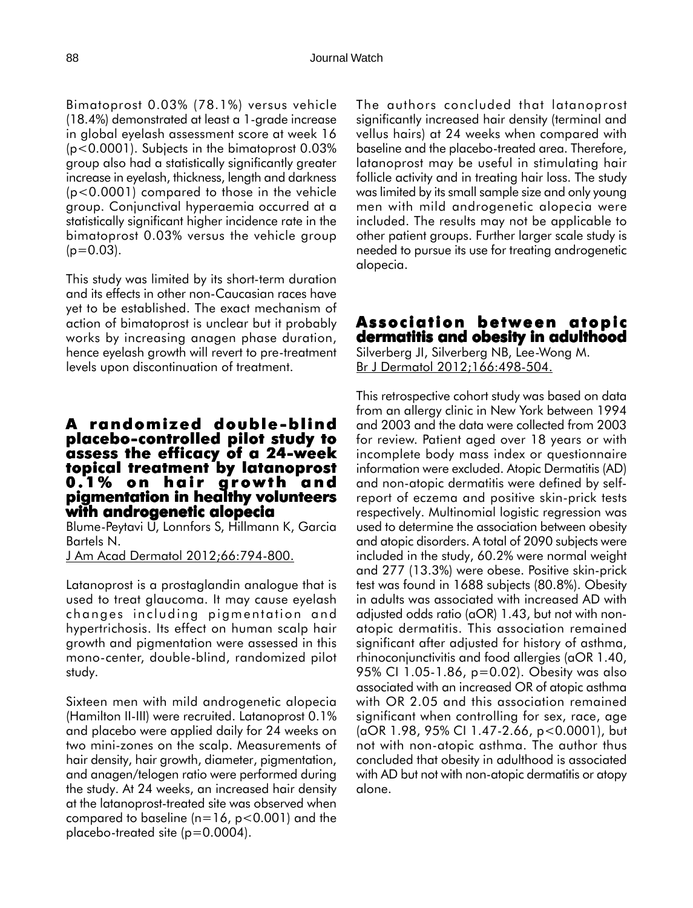Bimatoprost 0.03% (78.1%) versus vehicle (18.4%) demonstrated at least a 1-grade increase in global eyelash assessment score at week 16 (p<0.0001). Subjects in the bimatoprost 0.03% group also had a statistically significantly greater increase in eyelash, thickness, length and darkness (p<0.0001) compared to those in the vehicle group. Conjunctival hyperaemia occurred at a statistically significant higher incidence rate in the bimatoprost 0.03% versus the vehicle group  $(p=0.03)$ .

This study was limited by its short-term duration and its effects in other non-Caucasian races have yet to be established. The exact mechanism of action of bimatoprost is unclear but it probably works by increasing anagen phase duration, hence eyelash growth will revert to pre-treatment levels upon discontinuation of treatment.

## **A randomized double -blind placebo-controlled pilot study to assess the efficacy of a 24-week topical treatment by latanoprost topical by 0.1% on hair growth and pigmentation in healthy volunteers with androgenetic alopecia**

Blume-Peytavi U, Lonnfors S, Hillmann K, Garcia Bartels N.

J Am Acad Dermatol 2012;66:794-800.

Latanoprost is a prostaglandin analogue that is used to treat glaucoma. It may cause eyelash changes including pigmentation and hypertrichosis. Its effect on human scalp hair growth and pigmentation were assessed in this mono-center, double-blind, randomized pilot study.

Sixteen men with mild androgenetic alopecia (Hamilton II-III) were recruited. Latanoprost 0.1% and placebo were applied daily for 24 weeks on two mini-zones on the scalp. Measurements of hair density, hair growth, diameter, pigmentation, and anagen/telogen ratio were performed during the study. At 24 weeks, an increased hair density at the latanoprost-treated site was observed when compared to baseline ( $n=16$ ,  $p<0.001$ ) and the placebo-treated site (p=0.0004).

The authors concluded that latanoprost significantly increased hair density (terminal and vellus hairs) at 24 weeks when compared with baseline and the placebo-treated area. Therefore, latanoprost may be useful in stimulating hair follicle activity and in treating hair loss. The study was limited by its small sample size and only young men with mild androgenetic alopecia were included. The results may not be applicable to other patient groups. Further larger scale study is needed to pursue its use for treating androgenetic alopecia.

### **Association between atopic dermatitis and obesity in adulthood**

Silverberg JI, Silverberg NB, Lee-Wong M. Br J Dermatol 2012;166:498-504.

This retrospective cohort study was based on data from an allergy clinic in New York between 1994 and 2003 and the data were collected from 2003 for review. Patient aged over 18 years or with incomplete body mass index or questionnaire information were excluded. Atopic Dermatitis (AD) and non-atopic dermatitis were defined by selfreport of eczema and positive skin-prick tests respectively. Multinomial logistic regression was used to determine the association between obesity and atopic disorders. A total of 2090 subjects were included in the study, 60.2% were normal weight and 277 (13.3%) were obese. Positive skin-prick test was found in 1688 subjects (80.8%). Obesity in adults was associated with increased AD with adjusted odds ratio (aOR) 1.43, but not with nonatopic dermatitis. This association remained significant after adjusted for history of asthma, rhinoconjunctivitis and food allergies (aOR 1.40, 95% CI 1.05-1.86, p=0.02). Obesity was also associated with an increased OR of atopic asthma with OR 2.05 and this association remained significant when controlling for sex, race, age (aOR 1.98, 95% CI 1.47-2.66, p<0.0001), but not with non-atopic asthma. The author thus concluded that obesity in adulthood is associated with AD but not with non-atopic dermatitis or atopy alone.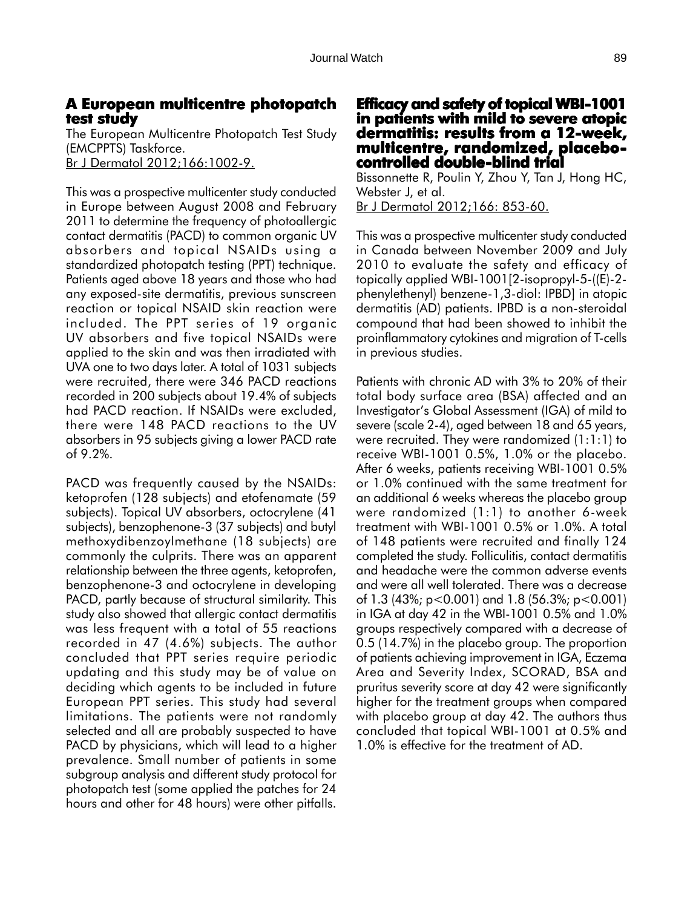## **A European multicentre photopatch test study**

The European Multicentre Photopatch Test Study (EMCPPTS) Taskforce. Br J Dermatol 2012;166:1002-9.

This was a prospective multicenter study conducted in Europe between August 2008 and February 2011 to determine the frequency of photoallergic contact dermatitis (PACD) to common organic UV absorbers and topical NSAIDs using a standardized photopatch testing (PPT) technique. Patients aged above 18 years and those who had any exposed-site dermatitis, previous sunscreen reaction or topical NSAID skin reaction were included. The PPT series of 19 organic UV absorbers and five topical NSAIDs were applied to the skin and was then irradiated with UVA one to two days later. A total of 1031 subjects were recruited, there were 346 PACD reactions recorded in 200 subjects about 19.4% of subjects had PACD reaction. If NSAIDs were excluded, there were 148 PACD reactions to the UV absorbers in 95 subjects giving a lower PACD rate of 9.2%.

PACD was frequently caused by the NSAIDs: ketoprofen (128 subjects) and etofenamate (59 subjects). Topical UV absorbers, octocrylene (41 subjects), benzophenone-3 (37 subjects) and butyl methoxydibenzoylmethane (18 subjects) are commonly the culprits. There was an apparent relationship between the three agents, ketoprofen, benzophenone-3 and octocrylene in developing PACD, partly because of structural similarity. This study also showed that allergic contact dermatitis was less frequent with a total of 55 reactions recorded in 47 (4.6%) subjects. The author concluded that PPT series require periodic updating and this study may be of value on deciding which agents to be included in future European PPT series. This study had several limitations. The patients were not randomly selected and all are probably suspected to have PACD by physicians, which will lead to a higher prevalence. Small number of patients in some subgroup analysis and different study protocol for photopatch test (some applied the patches for 24 hours and other for 48 hours) were other pitfalls.

## **Efficacy and safety of topical WBI-1001 in patients with mild to severe atopic dermatitis: results from a 12-week, from a 12-week, multicentre, randomized, placebo- controlled double-blind trial -blind**

Bissonnette R, Poulin Y, Zhou Y, Tan J, Hong HC, Webster J, et al. Br J Dermatol 2012;166: 853-60.

This was a prospective multicenter study conducted in Canada between November 2009 and July 2010 to evaluate the safety and efficacy of topically applied WBI-1001[2-isopropyl-5-((E)-2 phenylethenyl) benzene-1,3-diol: IPBD] in atopic dermatitis (AD) patients. IPBD is a non-steroidal compound that had been showed to inhibit the proinflammatory cytokines and migration of T-cells in previous studies.

Patients with chronic AD with 3% to 20% of their total body surface area (BSA) affected and an Investigator's Global Assessment (IGA) of mild to severe (scale 2-4), aged between 18 and 65 years, were recruited. They were randomized (1:1:1) to receive WBI-1001 0.5%, 1.0% or the placebo. After 6 weeks, patients receiving WBI-1001 0.5% or 1.0% continued with the same treatment for an additional 6 weeks whereas the placebo group were randomized (1:1) to another 6-week treatment with WBI-1001 0.5% or 1.0%. A total of 148 patients were recruited and finally 124 completed the study. Folliculitis, contact dermatitis and headache were the common adverse events and were all well tolerated. There was a decrease of 1.3 (43%; p<0.001) and 1.8 (56.3%; p<0.001) in IGA at day 42 in the WBI-1001 0.5% and 1.0% groups respectively compared with a decrease of 0.5 (14.7%) in the placebo group. The proportion of patients achieving improvement in IGA, Eczema Area and Severity Index, SCORAD, BSA and pruritus severity score at day 42 were significantly higher for the treatment groups when compared with placebo group at day 42. The authors thus concluded that topical WBI-1001 at 0.5% and 1.0% is effective for the treatment of AD.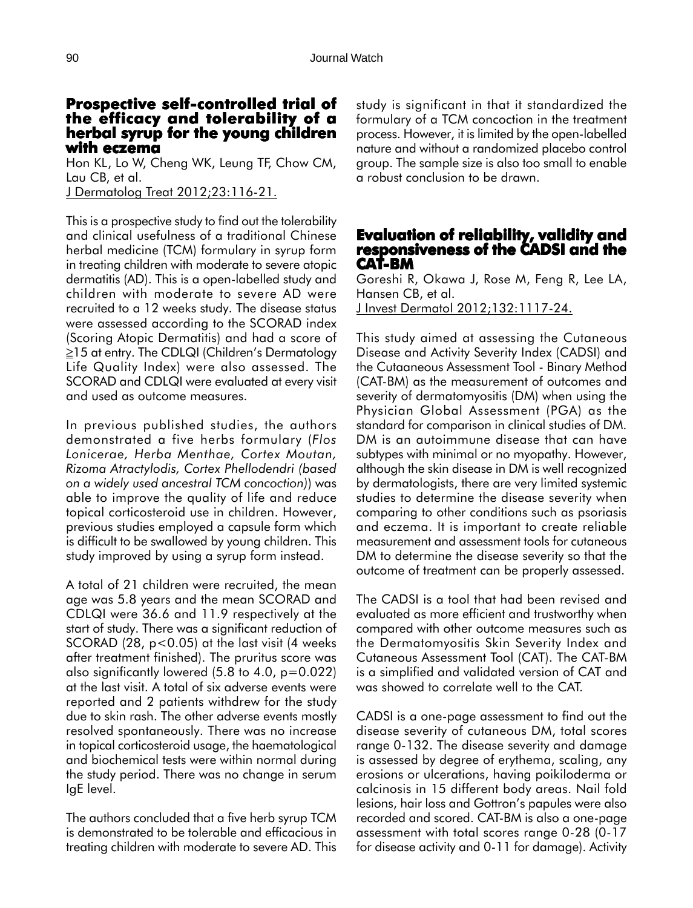### **Prospective self-controlled trial of controlled trial the efficacy and tolerability of a herbal syrup for the young children with eczema**

Hon KL, Lo W, Cheng WK, Leung TF, Chow CM, Lau CB, et al. J Dermatolog Treat 2012;23:116-21.

This is a prospective study to find out the tolerability and clinical usefulness of a traditional Chinese herbal medicine (TCM) formulary in syrup form in treating children with moderate to severe atopic dermatitis (AD). This is a open-labelled study and children with moderate to severe AD were recruited to a 12 weeks study. The disease status were assessed according to the SCORAD index (Scoring Atopic Dermatitis) and had a score of ≥15 at entry. The CDLQI (Children's Dermatology Life Quality Index) were also assessed. The SCORAD and CDLQI were evaluated at every visit and used as outcome measures.

In previous published studies, the authors demonstrated a five herbs formulary (*Flos Lonicerae, Herba Menthae, Cortex Moutan, Rizoma Atractylodis, Cortex Phellodendri (based on a widely used ancestral TCM concoction)*) was able to improve the quality of life and reduce topical corticosteroid use in children. However, previous studies employed a capsule form which is difficult to be swallowed by young children. This study improved by using a syrup form instead.

A total of 21 children were recruited, the mean age was 5.8 years and the mean SCORAD and CDLQI were 36.6 and 11.9 respectively at the start of study. There was a significant reduction of SCORAD (28,  $p < 0.05$ ) at the last visit (4 weeks after treatment finished). The pruritus score was also significantly lowered  $(5.8$  to  $4.0, p=0.022)$ at the last visit. A total of six adverse events were reported and 2 patients withdrew for the study due to skin rash. The other adverse events mostly resolved spontaneously. There was no increase in topical corticosteroid usage, the haematological and biochemical tests were within normal during the study period. There was no change in serum IgE level.

The authors concluded that a five herb syrup TCM is demonstrated to be tolerable and efficacious in treating children with moderate to severe AD. This study is significant in that it standardized the formulary of a TCM concoction in the treatment process. However, it is limited by the open-labelled nature and without a randomized placebo control group. The sample size is also too small to enable a robust conclusion to be drawn.

### **Evaluation of reliability, validity and responsiveness of the CADSI and the CAT-BM**

Goreshi R, Okawa J, Rose M, Feng R, Lee LA, Hansen CB, et al. J Invest Dermatol 2012;132:1117-24.

This study aimed at assessing the Cutaneous Disease and Activity Severity Index (CADSI) and the Cutaaneous Assessment Tool - Binary Method (CAT-BM) as the measurement of outcomes and severity of dermatomyositis (DM) when using the Physician Global Assessment (PGA) as the standard for comparison in clinical studies of DM. DM is an autoimmune disease that can have subtypes with minimal or no myopathy. However, although the skin disease in DM is well recognized by dermatologists, there are very limited systemic studies to determine the disease severity when comparing to other conditions such as psoriasis and eczema. It is important to create reliable measurement and assessment tools for cutaneous DM to determine the disease severity so that the outcome of treatment can be properly assessed.

The CADSI is a tool that had been revised and evaluated as more efficient and trustworthy when compared with other outcome measures such as the Dermatomyositis Skin Severity Index and Cutaneous Assessment Tool (CAT). The CAT-BM is a simplified and validated version of CAT and was showed to correlate well to the CAT.

CADSI is a one-page assessment to find out the disease severity of cutaneous DM, total scores range 0-132. The disease severity and damage is assessed by degree of erythema, scaling, any erosions or ulcerations, having poikiloderma or calcinosis in 15 different body areas. Nail fold lesions, hair loss and Gottron's papules were also recorded and scored. CAT-BM is also a one-page assessment with total scores range 0-28 (0-17 for disease activity and 0-11 for damage). Activity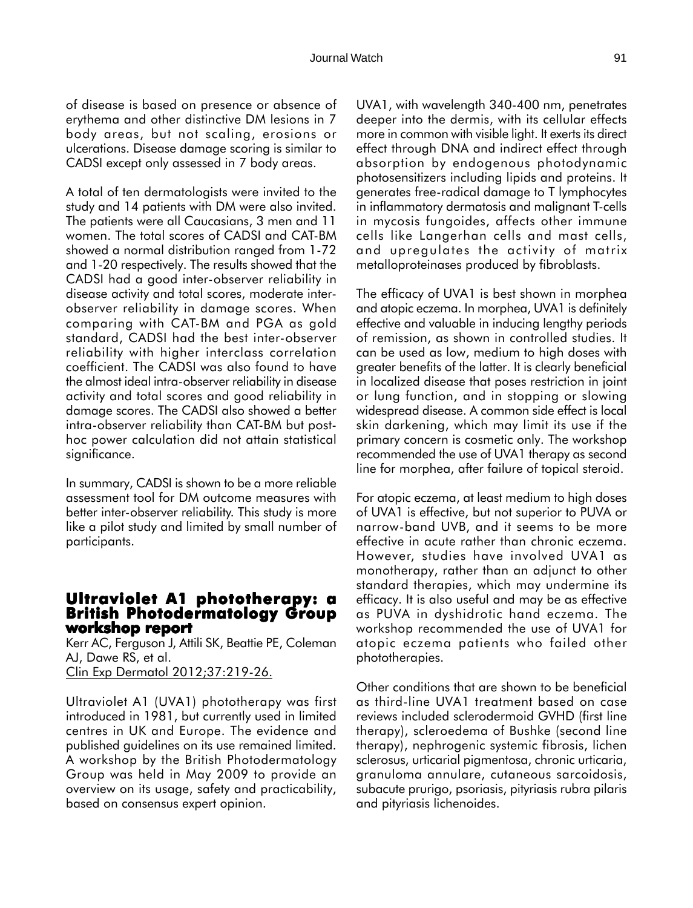of disease is based on presence or absence of erythema and other distinctive DM lesions in 7 body areas, but not scaling, erosions or

A total of ten dermatologists were invited to the study and 14 patients with DM were also invited. The patients were all Caucasians, 3 men and 11 women. The total scores of CADSI and CAT-BM showed a normal distribution ranged from 1-72 and 1-20 respectively. The results showed that the CADSI had a good inter-observer reliability in disease activity and total scores, moderate interobserver reliability in damage scores. When comparing with CAT-BM and PGA as gold standard, CADSI had the best inter-observer reliability with higher interclass correlation coefficient. The CADSI was also found to have the almost ideal intra-observer reliability in disease activity and total scores and good reliability in damage scores. The CADSI also showed a better intra-observer reliability than CAT-BM but posthoc power calculation did not attain statistical significance.

ulcerations. Disease damage scoring is similar to CADSI except only assessed in 7 body areas.

In summary, CADSI is shown to be a more reliable assessment tool for DM outcome measures with better inter-observer reliability. This study is more like a pilot study and limited by small number of participants.

## **Ultraviolet A1 phototherapy: a British Photodermatology Group workshop report workshop report**

Kerr AC, Ferguson J, Attili SK, Beattie PE, Coleman AJ, Dawe RS, et al. Clin Exp Dermatol 2012;37:219-26.

Ultraviolet A1 (UVA1) phototherapy was first introduced in 1981, but currently used in limited centres in UK and Europe. The evidence and published guidelines on its use remained limited. A workshop by the British Photodermatology Group was held in May 2009 to provide an overview on its usage, safety and practicability, based on consensus expert opinion.

UVA1, with wavelength 340-400 nm, penetrates deeper into the dermis, with its cellular effects more in common with visible light. It exerts its direct effect through DNA and indirect effect through absorption by endogenous photodynamic photosensitizers including lipids and proteins. It generates free-radical damage to T lymphocytes in inflammatory dermatosis and malignant T-cells in mycosis fungoides, affects other immune cells like Langerhan cells and mast cells, and upregulates the activity of matrix metalloproteinases produced by fibroblasts.

The efficacy of UVA1 is best shown in morphea and atopic eczema. In morphea, UVA1 is definitely effective and valuable in inducing lengthy periods of remission, as shown in controlled studies. It can be used as low, medium to high doses with greater benefits of the latter. It is clearly beneficial in localized disease that poses restriction in joint or lung function, and in stopping or slowing widespread disease. A common side effect is local skin darkening, which may limit its use if the primary concern is cosmetic only. The workshop recommended the use of UVA1 therapy as second line for morphea, after failure of topical steroid.

For atopic eczema, at least medium to high doses of UVA1 is effective, but not superior to PUVA or narrow-band UVB, and it seems to be more effective in acute rather than chronic eczema. However, studies have involved UVA1 as monotherapy, rather than an adjunct to other standard therapies, which may undermine its efficacy. It is also useful and may be as effective as PUVA in dyshidrotic hand eczema. The workshop recommended the use of UVA1 for atopic eczema patients who failed other phototherapies.

Other conditions that are shown to be beneficial as third-line UVA1 treatment based on case reviews included sclerodermoid GVHD (first line therapy), scleroedema of Bushke (second line therapy), nephrogenic systemic fibrosis, lichen sclerosus, urticarial pigmentosa, chronic urticaria, granuloma annulare, cutaneous sarcoidosis, subacute prurigo, psoriasis, pityriasis rubra pilaris and pityriasis lichenoides.